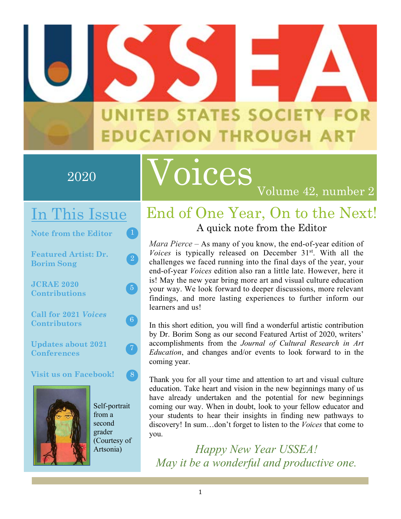## **UNITED STATES SOCIETY FOR EDUCATION THROUGH ART**

### $2\overline{0}2\overline{0}$

**InSEA World Congress, Summer 2017**

# Voices

### In This Issue

**Note from the Editor**

**Featured Artist: Dr. Borim Song**

**JCRAE 2020 Contributions**

**Call for 2021** *Voices* **Contributors**

**Updates about 2021 Conferences**

**Visit us on Facebook!**



Self-portrait from a second grader (Courtesy of Artsonia)

 $\left( 2\right)$ 

 $\left(5\right)$ 

 $(6)$ 

 $\left( 8\right)$ 

 $\left( 7\right)$ 

### End of One Year, On to the Next! A quick note from the Editor

Volume 42, number 2

*Mara Pierce* – As many of you know, the end-of-year edition of *Voices* is typically released on December 31<sup>st</sup>. With all the challenges we faced running into the final days of the year, your end-of-year *Voices* edition also ran a little late. However, here it is! May the new year bring more art and visual culture education your way. We look forward to deeper discussions, more relevant findings, and more lasting experiences to further inform our learners and us!

In this short edition, you will find a wonderful artistic contribution by Dr. Borim Song as our second Featured Artist of 2020, writers' accomplishments from the *Journal of Cultural Research in Art Education*, and changes and/or events to look forward to in the coming year.

Thank you for all your time and attention to art and visual culture education. Take heart and vision in the new beginnings many of us have already undertaken and the potential for new beginnings coming our way. When in doubt, look to your fellow educator and your students to hear their insights in finding new pathways to discovery! In sum…don't forget to listen to the *Voices* that come to you.

*Happy New Year USSEA! May it be a wonderful and productive one.*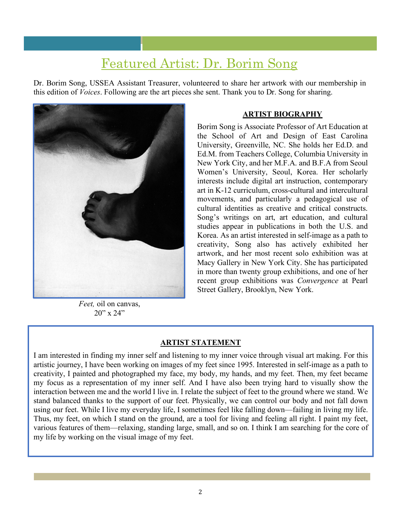### Featured Artist: Dr. Borim Song

Dr. Borim Song, USSEA Assistant Treasurer, volunteered to share her artwork with our membership in this edition of *Voices*. Following are the art pieces she sent. Thank you to Dr. Song for sharing.



*Feet,* oil on canvas,  $20''$  x  $24''$ 

#### **ARTIST BIOGRAPHY**

Borim Song is Associate Professor of Art Education at the School of Art and Design of East Carolina University, Greenville, NC. She holds her Ed.D. and Ed.M. from Teachers College, Columbia University in New York City, and her M.F.A. and B.F.A from Seoul Women's University, Seoul, Korea. Her scholarly interests include digital art instruction, contemporary art in K-12 curriculum, cross-cultural and intercultural movements, and particularly a pedagogical use of cultural identities as creative and critical constructs. Song's writings on art, art education, and cultural studies appear in publications in both the U.S. and Korea. As an artist interested in self-image as a path to creativity, Song also has actively exhibited her artwork, and her most recent solo exhibition was at Macy Gallery in New York City. She has participated in more than twenty group exhibitions, and one of her recent group exhibitions was *Convergence* at Pearl Street Gallery, Brooklyn, New York.

#### **ARTIST STATEMENT**

I am interested in finding my inner self and listening to my inner voice through visual art making. For this artistic journey, I have been working on images of my feet since 1995. Interested in self-image as a path to creativity, I painted and photographed my face, my body, my hands, and my feet. Then, my feet became my focus as a representation of my inner self. And I have also been trying hard to visually show the interaction between me and the world I live in. I relate the subject of feet to the ground where we stand. We stand balanced thanks to the support of our feet. Physically, we can control our body and not fall down using our feet. While I live my everyday life, I sometimes feel like falling down—failing in living my life. Thus, my feet, on which I stand on the ground, are a tool for living and feeling all right. I paint my feet, various features of them—relaxing, standing large, small, and so on. I think I am searching for the core of my life by working on the visual image of my feet.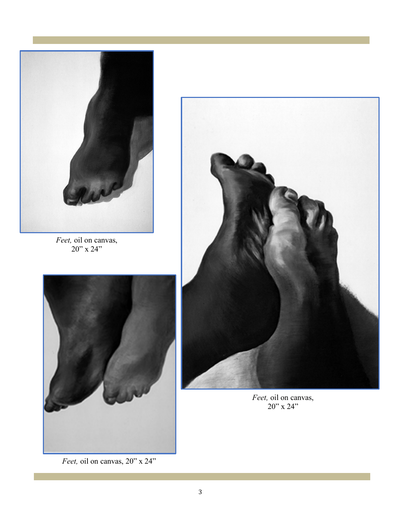

*Feet,* oil on canvas, 20" x 24"



*Feet,* oil on canvas, 20" x 24"



*Feet,* oil on canvas, 20" x 24"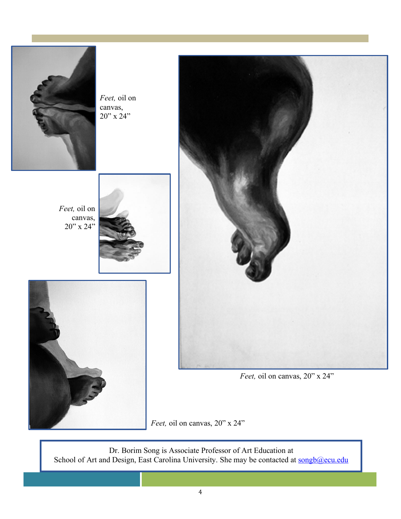

*Feet,* oil on canvas,  $20"$  x  $24"$ 

*Feet,* oil on canvas, 20" x 24"







*Feet,* oil on canvas, 20" x 24"

*Feet,* oil on canvas, 20" x 24"

Dr. Borim Song is Associate Professor of Art Education at School of Art and Design, East Carolina University. She may be contacted at songb@ecu.edu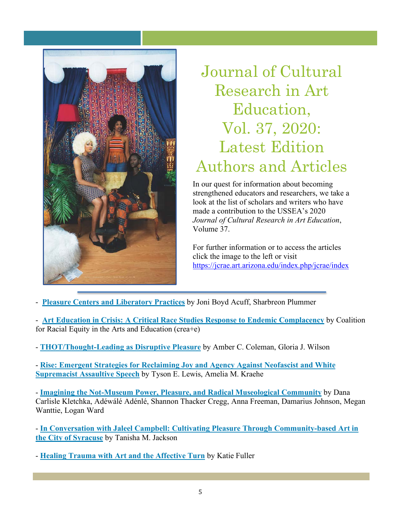

### Journal of Cultural Research in Art Education, Vol. 37, 2020: Latest Edition Authors and Articles

In our quest for information about becoming strengthened educators and researchers, we take a look at the list of scholars and writers who have made a contribution to the USSEA's 2020 *Journal of Cultural Research in Art Education*, Volume 37.

For further information or to access the articles click the image to the left or visit https://jcrae.art.arizona.edu/index.php/jcrae/index

- **[Pleasure Centers and Liberatory Practices](https://jcrae.art.arizona.edu/index.php/jcrae/article/view/157)** by Joni Boyd Acuff, Sharbreon Plummer
- **[Art Education in Crisis: A Critical Race Studies Response to Endemic Complacency](https://jcrae.art.arizona.edu/index.php/jcrae/article/view/158)** by Coalition for Racial Equity in the Arts and Education (crea+e)
- **[THOT/Thought-Leading as Disruptive Pleasure](https://jcrae.art.arizona.edu/index.php/jcrae/article/view/159)** by Amber C. Coleman, Gloria J. Wilson

- **[Rise: Emergent Strategies for Reclaiming Joy and Agency Against Neofascist and White](https://jcrae.art.arizona.edu/index.php/jcrae/article/view/161)  Supremacist Assaultive Speech** by Tyson E. Lewis, Amelia M. Kraehe

- **[Imagining the Not-Museum Power, Pleasure, and Radical Museological Community](https://jcrae.art.arizona.edu/index.php/jcrae/article/view/162)** by Dana Carlisle Kletchka, Adéwálé Adénlé, Shannon Thacker Cregg, Anna Freeman, Damarius Johnson, Megan Wanttie, Logan Ward

- **[In Conversation with Jaleel Campbell: Cultivating Pleasure Through Community-based Art in](https://jcrae.art.arizona.edu/index.php/jcrae/article/view/163)  the City of Syracuse** by Tanisha M. Jackson

- **[Healing Trauma with Art and the Affective Turn](https://jcrae.art.arizona.edu/index.php/jcrae/article/view/164)** by Katie Fuller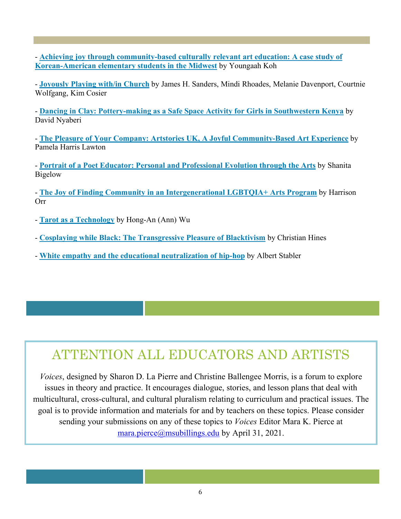- **[Achieving joy through community-based culturally relevant art education: A case study of](https://jcrae.art.arizona.edu/index.php/jcrae/article/view/165)  Korean-American elementary students in the Midwest** by Youngaah Koh

- **[Joyously Playing with/in Church](https://jcrae.art.arizona.edu/index.php/jcrae/article/view/166)** by James H. Sanders, Mindi Rhoades, Melanie Davenport, Courtnie Wolfgang, Kim Cosier

- **[Dancing in Clay: Pottery-making as a Safe Space Activity for Girls in Southwestern Kenya](https://jcrae.art.arizona.edu/index.php/jcrae/article/view/167)** by David Nyaberi

- **[The Pleasure of Your Company: Artstories UK, A Joyful Community-Based Art Experience](https://jcrae.art.arizona.edu/index.php/jcrae/article/view/168)** by Pamela Harris Lawton

- **[Portrait of a Poet Educator: Personal and Professional Evolution through the Arts](https://jcrae.art.arizona.edu/index.php/jcrae/article/view/169)** by Shanita Bigelow

- **[The Joy of Finding Community in an Intergenerational LGBTQIA+ Arts Program](https://jcrae.art.arizona.edu/index.php/jcrae/article/view/170)** by Harrison Orr

- **[Tarot as a Technology](https://jcrae.art.arizona.edu/index.php/jcrae/article/view/171)** by Hong-An (Ann) Wu
- **[Cosplaying while Black: The Transgressive Pleasure of Blacktivism](https://jcrae.art.arizona.edu/index.php/jcrae/article/view/172)** by Christian Hines
- **[White empathy and the educational neutralization of hip-hop](https://jcrae.art.arizona.edu/index.php/jcrae/article/view/173)** by Albert Stabler

### ATTENTION ALL EDUCATORS AND ARTISTS

*Voices*, designed by Sharon D. La Pierre and Christine Ballengee Morris, is a forum to explore issues in theory and practice. It encourages dialogue, stories, and lesson plans that deal with multicultural, cross-cultural, and cultural pluralism relating to curriculum and practical issues. The goal is to provide information and materials for and by teachers on these topics. Please consider sending your submissions on any of these topics to *Voices* Editor Mara K. Pierce at mara.pierce@msubillings.edu by April 31, 2021.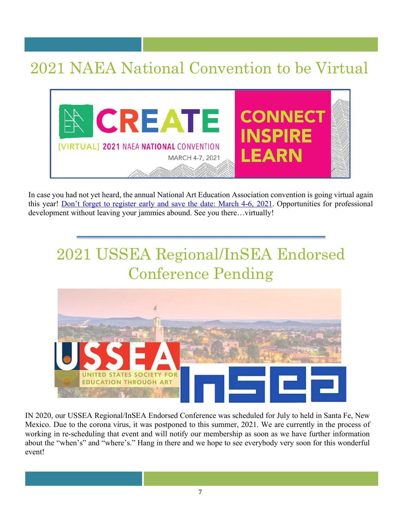### 2021 NAEA National Convention to be Virtual



In case you had not yet heard, the annual National Art Education Association convention is going virtual again this year! [Don't forget to register early and save the date: March 4-6, 2021.](https://www.arteducators.org/events/national-convention) Opportunities for professional development without leaving your jammies abound. See you there…virtually!

### 2021 USSEA Regional/InSEA Endorsed Conference Pending



IN 2020, our USSEA Regional/InSEA Endorsed Conference was scheduled for July to held in Santa Fe, New Mexico. Due to the corona virus, it was postponed to this summer, 2021. We are currently in the process of working in re-scheduling that event and will notify our membership as soon as we have further information about the "when's" and "where's." Hang in there and we hope to see everybody very soon for this wonderful event!